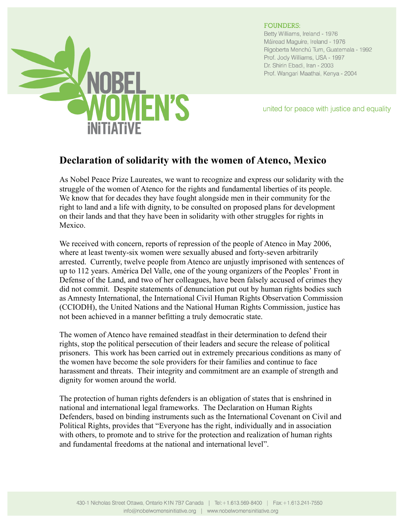

## **FOUNDERS:**

Betty Williams, Ireland - 1976 Máiread Maguire, Ireland - 1976 Rigoberta Menchú Tum, Guatemala - 1992 Prof. Jody Williams, USA - 1997 Dr. Shirin Ebadi, Iran - 2003 Prof. Wangari Maathai, Kenya - 2004

united for peace with justice and equality

## **Declaration of solidarity with the women of Atenco, Mexico**

As Nobel Peace Prize Laureates, we want to recognize and express our solidarity with the struggle of the women of Atenco for the rights and fundamental liberties of its people. We know that for decades they have fought alongside men in their community for the right to land and a life with dignity, to be consulted on proposed plans for development on their lands and that they have been in solidarity with other struggles for rights in Mexico.

We received with concern, reports of repression of the people of Atenco in May 2006, where at least twenty-six women were sexually abused and forty-seven arbitrarily arrested. Currently, twelve people from Atenco are unjustly imprisoned with sentences of up to 112 years. América Del Valle, one of the young organizers of the Peoples' Front in Defense of the Land, and two of her colleagues, have been falsely accused of crimes they did not commit. Despite statements of denunciation put out by human rights bodies such as Amnesty International, the International Civil Human Rights Observation Commission (CCIODH), the United Nations and the National Human Rights Commission, justice has not been achieved in a manner befitting a truly democratic state.

The women of Atenco have remained steadfast in their determination to defend their rights, stop the political persecution of their leaders and secure the release of political prisoners. This work has been carried out in extremely precarious conditions as many of the women have become the sole providers for their families and continue to face harassment and threats. Their integrity and commitment are an example of strength and dignity for women around the world.

The protection of human rights defenders is an obligation of states that is enshrined in national and international legal frameworks. The Declaration on Human Rights Defenders, based on binding instruments such as the International Covenant on Civil and Political Rights, provides that "Everyone has the right, individually and in association with others, to promote and to strive for the protection and realization of human rights and fundamental freedoms at the national and international level".